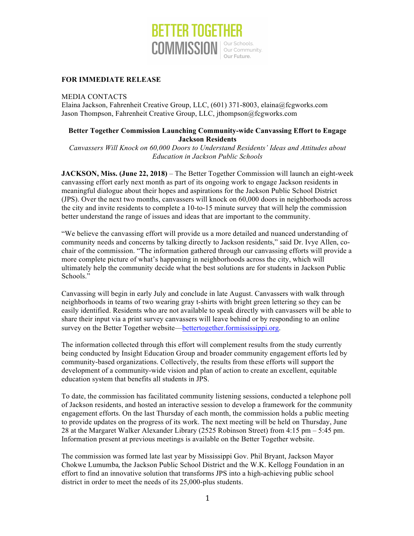

## **FOR IMMEDIATE RELEASE**

MEDIA CONTACTS

Elaina Jackson, Fahrenheit Creative Group, LLC, (601) 371-8003, elaina@fcgworks.com Jason Thompson, Fahrenheit Creative Group, LLC, jthompson@fcgworks.com

## **Better Together Commission Launching Community-wide Canvassing Effort to Engage Jackson Residents**

*Canvassers Will Knock on 60,000 Doors to Understand Residents' Ideas and Attitudes about Education in Jackson Public Schools*

**JACKSON, Miss. (June 22, 2018)** – The Better Together Commission will launch an eight-week canvassing effort early next month as part of its ongoing work to engage Jackson residents in meaningful dialogue about their hopes and aspirations for the Jackson Public School District (JPS). Over the next two months, canvassers will knock on 60,000 doors in neighborhoods across the city and invite residents to complete a 10-to-15 minute survey that will help the commission better understand the range of issues and ideas that are important to the community.

"We believe the canvassing effort will provide us a more detailed and nuanced understanding of community needs and concerns by talking directly to Jackson residents," said Dr. Ivye Allen, cochair of the commission. "The information gathered through our canvassing efforts will provide a more complete picture of what's happening in neighborhoods across the city, which will ultimately help the community decide what the best solutions are for students in Jackson Public Schools."

Canvassing will begin in early July and conclude in late August. Canvassers with walk through neighborhoods in teams of two wearing gray t-shirts with bright green lettering so they can be easily identified. Residents who are not available to speak directly with canvassers will be able to share their input via a print survey canvassers will leave behind or by responding to an online survey on the Better Together website[—bettertogether.formississippi.org](https://bettertogether.formississippi.org).

The information collected through this effort will complement results from the study currently being conducted by Insight Education Group and broader community engagement efforts led by community-based organizations. Collectively, the results from these efforts will support the development of a community-wide vision and plan of action to create an excellent, equitable education system that benefits all students in JPS.

To date, the commission has facilitated community listening sessions, conducted a telephone poll of Jackson residents, and hosted an interactive session to develop a framework for the community engagement efforts. On the last Thursday of each month, the commission holds a public meeting to provide updates on the progress of its work. The next meeting will be held on Thursday, June 28 at the Margaret Walker Alexander Library (2525 Robinson Street) from 4:15 pm – 5:45 pm. Information present at previous meetings is available on the Better Together website.

The commission was formed late last year by Mississippi Gov. Phil Bryant, Jackson Mayor Chokwe Lumumba, the Jackson Public School District and the W.K. Kellogg Foundation in an effort to find an innovative solution that transforms JPS into a high-achieving public school district in order to meet the needs of its 25,000-plus students.